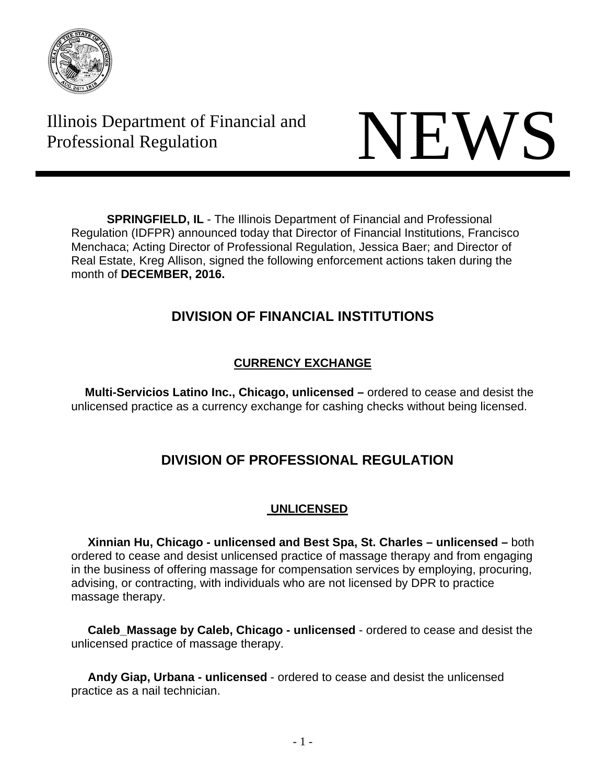

Illinois Department of Financial and Illinois Department of Financial and<br>Professional Regulation



**SPRINGFIELD, IL** - The Illinois Department of Financial and Professional Regulation (IDFPR) announced today that Director of Financial Institutions, Francisco Menchaca; Acting Director of Professional Regulation, Jessica Baer; and Director of Real Estate, Kreg Allison, signed the following enforcement actions taken during the month of **DECEMBER, 2016.** 

# **DIVISION OF FINANCIAL INSTITUTIONS**

## **CURRENCY EXCHANGE**

 **Multi-Servicios Latino Inc., Chicago, unlicensed –** ordered to cease and desist the unlicensed practice as a currency exchange for cashing checks without being licensed.

# **DIVISION OF PROFESSIONAL REGULATION**

## **UNLICENSED**

 **Xinnian Hu, Chicago - unlicensed and Best Spa, St. Charles – unlicensed –** both ordered to cease and desist unlicensed practice of massage therapy and from engaging in the business of offering massage for compensation services by employing, procuring, advising, or contracting, with individuals who are not licensed by DPR to practice massage therapy.

 **Caleb\_Massage by Caleb, Chicago - unlicensed** - ordered to cease and desist the unlicensed practice of massage therapy.

 **Andy Giap, Urbana - unlicensed** - ordered to cease and desist the unlicensed practice as a nail technician.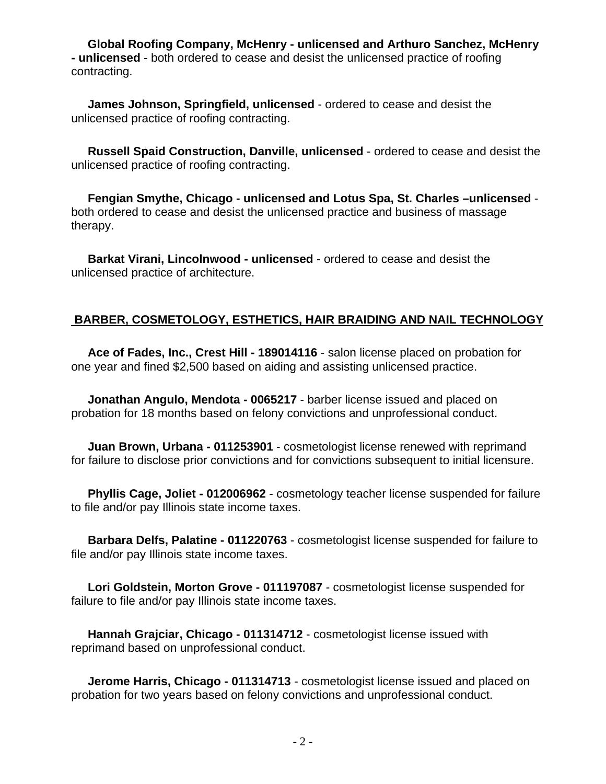**Global Roofing Company, McHenry - unlicensed and Arthuro Sanchez, McHenry - unlicensed** - both ordered to cease and desist the unlicensed practice of roofing contracting.

 **James Johnson, Springfield, unlicensed** - ordered to cease and desist the unlicensed practice of roofing contracting.

 **Russell Spaid Construction, Danville, unlicensed** - ordered to cease and desist the unlicensed practice of roofing contracting.

 **Fengian Smythe, Chicago - unlicensed and Lotus Spa, St. Charles –unlicensed** both ordered to cease and desist the unlicensed practice and business of massage therapy.

 **Barkat Virani, Lincolnwood - unlicensed** - ordered to cease and desist the unlicensed practice of architecture.

#### **BARBER, COSMETOLOGY, ESTHETICS, HAIR BRAIDING AND NAIL TECHNOLOGY**

 **Ace of Fades, Inc., Crest Hill - 189014116** - salon license placed on probation for one year and fined \$2,500 based on aiding and assisting unlicensed practice.

 **Jonathan Angulo, Mendota - 0065217** - barber license issued and placed on probation for 18 months based on felony convictions and unprofessional conduct.

 **Juan Brown, Urbana - 011253901** - cosmetologist license renewed with reprimand for failure to disclose prior convictions and for convictions subsequent to initial licensure.

 **Phyllis Cage, Joliet - 012006962** - cosmetology teacher license suspended for failure to file and/or pay Illinois state income taxes.

 **Barbara Delfs, Palatine - 011220763** - cosmetologist license suspended for failure to file and/or pay Illinois state income taxes.

 **Lori Goldstein, Morton Grove - 011197087** - cosmetologist license suspended for failure to file and/or pay Illinois state income taxes.

 **Hannah Grajciar, Chicago - 011314712** - cosmetologist license issued with reprimand based on unprofessional conduct.

 **Jerome Harris, Chicago - 011314713** - cosmetologist license issued and placed on probation for two years based on felony convictions and unprofessional conduct.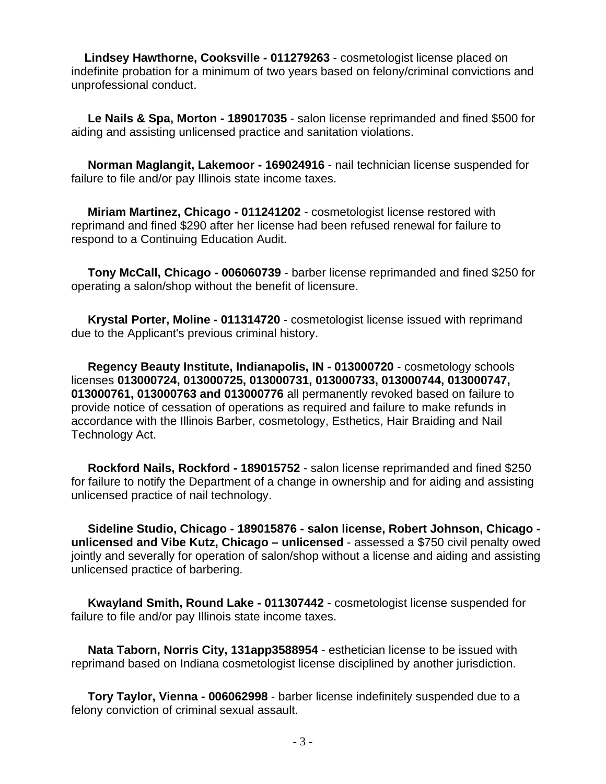**Lindsey Hawthorne, Cooksville - 011279263** - cosmetologist license placed on indefinite probation for a minimum of two years based on felony/criminal convictions and unprofessional conduct.

 **Le Nails & Spa, Morton - 189017035** - salon license reprimanded and fined \$500 for aiding and assisting unlicensed practice and sanitation violations.

 **Norman Maglangit, Lakemoor - 169024916** - nail technician license suspended for failure to file and/or pay Illinois state income taxes.

 **Miriam Martinez, Chicago - 011241202** - cosmetologist license restored with reprimand and fined \$290 after her license had been refused renewal for failure to respond to a Continuing Education Audit.

 **Tony McCall, Chicago - 006060739** - barber license reprimanded and fined \$250 for operating a salon/shop without the benefit of licensure.

 **Krystal Porter, Moline - 011314720** - cosmetologist license issued with reprimand due to the Applicant's previous criminal history.

 **Regency Beauty Institute, Indianapolis, IN - 013000720** - cosmetology schools licenses **013000724, 013000725, 013000731, 013000733, 013000744, 013000747, 013000761, 013000763 and 013000776** all permanently revoked based on failure to provide notice of cessation of operations as required and failure to make refunds in accordance with the Illinois Barber, cosmetology, Esthetics, Hair Braiding and Nail Technology Act.

 **Rockford Nails, Rockford - 189015752** - salon license reprimanded and fined \$250 for failure to notify the Department of a change in ownership and for aiding and assisting unlicensed practice of nail technology.

 **Sideline Studio, Chicago - 189015876 - salon license, Robert Johnson, Chicago unlicensed and Vibe Kutz, Chicago – unlicensed** - assessed a \$750 civil penalty owed jointly and severally for operation of salon/shop without a license and aiding and assisting unlicensed practice of barbering.

 **Kwayland Smith, Round Lake - 011307442** - cosmetologist license suspended for failure to file and/or pay Illinois state income taxes.

 **Nata Taborn, Norris City, 131app3588954** - esthetician license to be issued with reprimand based on Indiana cosmetologist license disciplined by another jurisdiction.

 **Tory Taylor, Vienna - 006062998** - barber license indefinitely suspended due to a felony conviction of criminal sexual assault.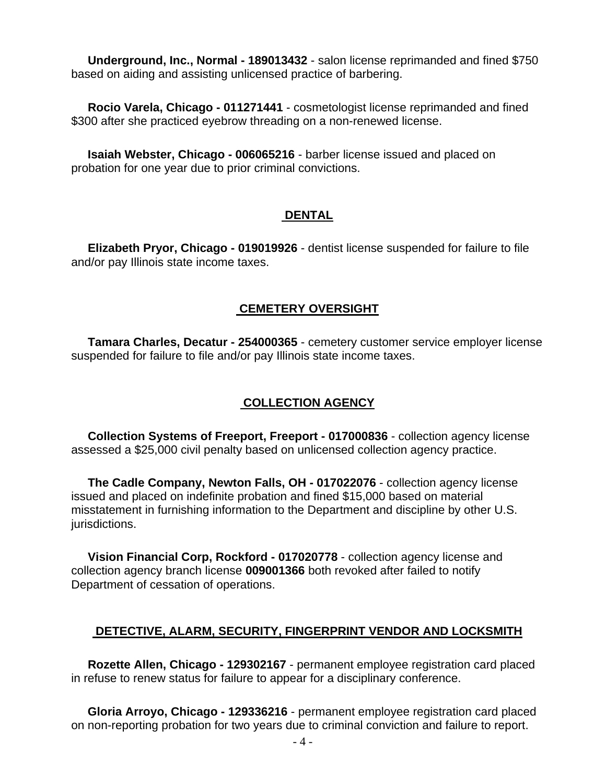**Underground, Inc., Normal - 189013432** - salon license reprimanded and fined \$750 based on aiding and assisting unlicensed practice of barbering.

 **Rocio Varela, Chicago - 011271441** - cosmetologist license reprimanded and fined \$300 after she practiced eyebrow threading on a non-renewed license.

 **Isaiah Webster, Chicago - 006065216** - barber license issued and placed on probation for one year due to prior criminal convictions.

#### **DENTAL**

 **Elizabeth Pryor, Chicago - 019019926** - dentist license suspended for failure to file and/or pay Illinois state income taxes.

#### **CEMETERY OVERSIGHT**

 **Tamara Charles, Decatur - 254000365** - cemetery customer service employer license suspended for failure to file and/or pay Illinois state income taxes.

#### **COLLECTION AGENCY**

 **Collection Systems of Freeport, Freeport - 017000836** - collection agency license assessed a \$25,000 civil penalty based on unlicensed collection agency practice.

 **The Cadle Company, Newton Falls, OH - 017022076** - collection agency license issued and placed on indefinite probation and fined \$15,000 based on material misstatement in furnishing information to the Department and discipline by other U.S. jurisdictions.

 **Vision Financial Corp, Rockford - 017020778** - collection agency license and collection agency branch license **009001366** both revoked after failed to notify Department of cessation of operations.

#### **DETECTIVE, ALARM, SECURITY, FINGERPRINT VENDOR AND LOCKSMITH**

 **Rozette Allen, Chicago - 129302167** - permanent employee registration card placed in refuse to renew status for failure to appear for a disciplinary conference.

 **Gloria Arroyo, Chicago - 129336216** - permanent employee registration card placed on non-reporting probation for two years due to criminal conviction and failure to report.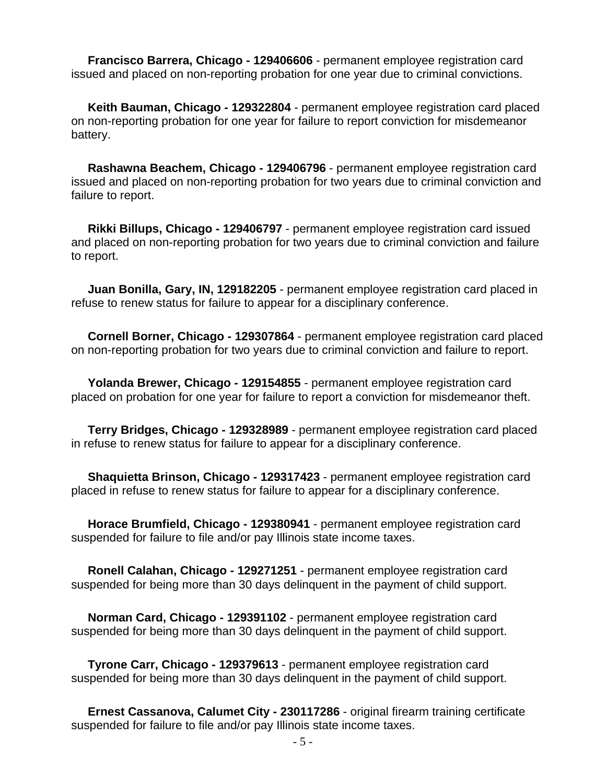**Francisco Barrera, Chicago - 129406606** - permanent employee registration card issued and placed on non-reporting probation for one year due to criminal convictions.

 **Keith Bauman, Chicago - 129322804** - permanent employee registration card placed on non-reporting probation for one year for failure to report conviction for misdemeanor battery.

 **Rashawna Beachem, Chicago - 129406796** - permanent employee registration card issued and placed on non-reporting probation for two years due to criminal conviction and failure to report.

 **Rikki Billups, Chicago - 129406797** - permanent employee registration card issued and placed on non-reporting probation for two years due to criminal conviction and failure to report.

 **Juan Bonilla, Gary, IN, 129182205** - permanent employee registration card placed in refuse to renew status for failure to appear for a disciplinary conference.

 **Cornell Borner, Chicago - 129307864** - permanent employee registration card placed on non-reporting probation for two years due to criminal conviction and failure to report.

 **Yolanda Brewer, Chicago - 129154855** - permanent employee registration card placed on probation for one year for failure to report a conviction for misdemeanor theft.

 **Terry Bridges, Chicago - 129328989** - permanent employee registration card placed in refuse to renew status for failure to appear for a disciplinary conference.

 **Shaquietta Brinson, Chicago - 129317423** - permanent employee registration card placed in refuse to renew status for failure to appear for a disciplinary conference.

 **Horace Brumfield, Chicago - 129380941** - permanent employee registration card suspended for failure to file and/or pay Illinois state income taxes.

 **Ronell Calahan, Chicago - 129271251** - permanent employee registration card suspended for being more than 30 days delinquent in the payment of child support.

 **Norman Card, Chicago - 129391102** - permanent employee registration card suspended for being more than 30 days delinquent in the payment of child support.

 **Tyrone Carr, Chicago - 129379613** - permanent employee registration card suspended for being more than 30 days delinquent in the payment of child support.

 **Ernest Cassanova, Calumet City - 230117286** - original firearm training certificate suspended for failure to file and/or pay Illinois state income taxes.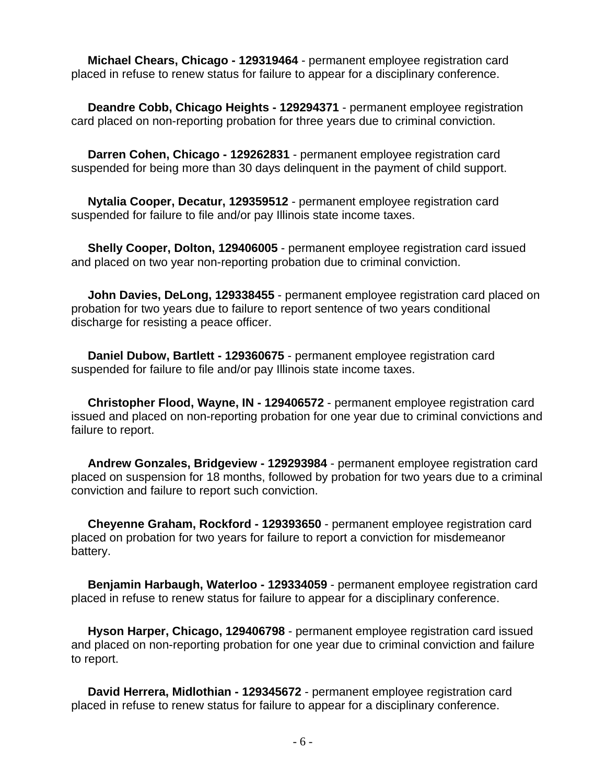**Michael Chears, Chicago - 129319464** - permanent employee registration card placed in refuse to renew status for failure to appear for a disciplinary conference.

 **Deandre Cobb, Chicago Heights - 129294371** - permanent employee registration card placed on non-reporting probation for three years due to criminal conviction.

 **Darren Cohen, Chicago - 129262831** - permanent employee registration card suspended for being more than 30 days delinquent in the payment of child support.

 **Nytalia Cooper, Decatur, 129359512** - permanent employee registration card suspended for failure to file and/or pay Illinois state income taxes.

 **Shelly Cooper, Dolton, 129406005** - permanent employee registration card issued and placed on two year non-reporting probation due to criminal conviction.

 **John Davies, DeLong, 129338455** - permanent employee registration card placed on probation for two years due to failure to report sentence of two years conditional discharge for resisting a peace officer.

 **Daniel Dubow, Bartlett - 129360675** - permanent employee registration card suspended for failure to file and/or pay Illinois state income taxes.

 **Christopher Flood, Wayne, IN - 129406572** - permanent employee registration card issued and placed on non-reporting probation for one year due to criminal convictions and failure to report.

 **Andrew Gonzales, Bridgeview - 129293984** - permanent employee registration card placed on suspension for 18 months, followed by probation for two years due to a criminal conviction and failure to report such conviction.

 **Cheyenne Graham, Rockford - 129393650** - permanent employee registration card placed on probation for two years for failure to report a conviction for misdemeanor battery.

 **Benjamin Harbaugh, Waterloo - 129334059** - permanent employee registration card placed in refuse to renew status for failure to appear for a disciplinary conference.

 **Hyson Harper, Chicago, 129406798** - permanent employee registration card issued and placed on non-reporting probation for one year due to criminal conviction and failure to report.

 **David Herrera, Midlothian - 129345672** - permanent employee registration card placed in refuse to renew status for failure to appear for a disciplinary conference.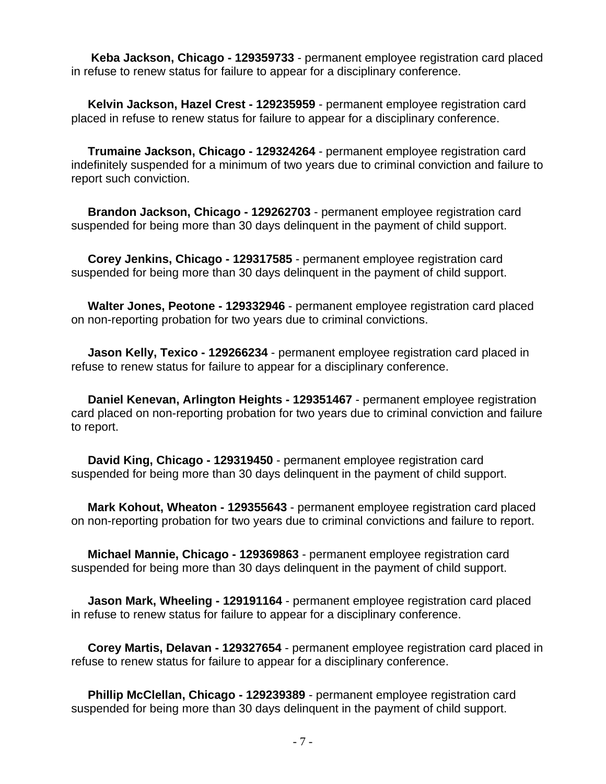**Keba Jackson, Chicago - 129359733** - permanent employee registration card placed in refuse to renew status for failure to appear for a disciplinary conference.

 **Kelvin Jackson, Hazel Crest - 129235959** - permanent employee registration card placed in refuse to renew status for failure to appear for a disciplinary conference.

 **Trumaine Jackson, Chicago - 129324264** - permanent employee registration card indefinitely suspended for a minimum of two years due to criminal conviction and failure to report such conviction.

 **Brandon Jackson, Chicago - 129262703** - permanent employee registration card suspended for being more than 30 days delinquent in the payment of child support.

 **Corey Jenkins, Chicago - 129317585** - permanent employee registration card suspended for being more than 30 days delinquent in the payment of child support.

 **Walter Jones, Peotone - 129332946** - permanent employee registration card placed on non-reporting probation for two years due to criminal convictions.

 **Jason Kelly, Texico - 129266234** - permanent employee registration card placed in refuse to renew status for failure to appear for a disciplinary conference.

 **Daniel Kenevan, Arlington Heights - 129351467** - permanent employee registration card placed on non-reporting probation for two years due to criminal conviction and failure to report.

 **David King, Chicago - 129319450** - permanent employee registration card suspended for being more than 30 days delinquent in the payment of child support.

 **Mark Kohout, Wheaton - 129355643** - permanent employee registration card placed on non-reporting probation for two years due to criminal convictions and failure to report.

 **Michael Mannie, Chicago - 129369863** - permanent employee registration card suspended for being more than 30 days delinquent in the payment of child support.

 **Jason Mark, Wheeling - 129191164** - permanent employee registration card placed in refuse to renew status for failure to appear for a disciplinary conference.

 **Corey Martis, Delavan - 129327654** - permanent employee registration card placed in refuse to renew status for failure to appear for a disciplinary conference.

 **Phillip McClellan, Chicago - 129239389** - permanent employee registration card suspended for being more than 30 days delinquent in the payment of child support.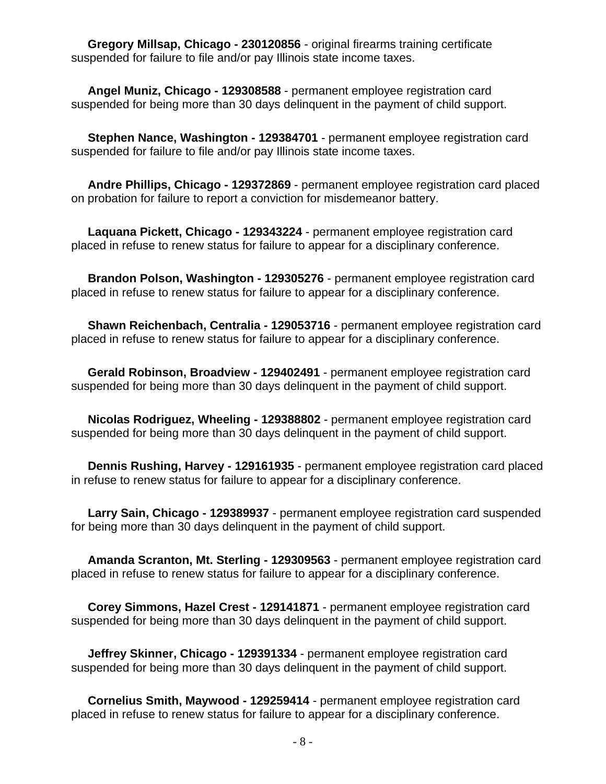**Gregory Millsap, Chicago - 230120856** - original firearms training certificate suspended for failure to file and/or pay Illinois state income taxes.

 **Angel Muniz, Chicago - 129308588** - permanent employee registration card suspended for being more than 30 days delinquent in the payment of child support.

 **Stephen Nance, Washington - 129384701** - permanent employee registration card suspended for failure to file and/or pay Illinois state income taxes.

 **Andre Phillips, Chicago - 129372869** - permanent employee registration card placed on probation for failure to report a conviction for misdemeanor battery.

 **Laquana Pickett, Chicago - 129343224** - permanent employee registration card placed in refuse to renew status for failure to appear for a disciplinary conference.

 **Brandon Polson, Washington - 129305276** - permanent employee registration card placed in refuse to renew status for failure to appear for a disciplinary conference.

 **Shawn Reichenbach, Centralia - 129053716** - permanent employee registration card placed in refuse to renew status for failure to appear for a disciplinary conference.

 **Gerald Robinson, Broadview - 129402491** - permanent employee registration card suspended for being more than 30 days delinquent in the payment of child support.

 **Nicolas Rodriguez, Wheeling - 129388802** - permanent employee registration card suspended for being more than 30 days delinquent in the payment of child support.

 **Dennis Rushing, Harvey - 129161935** - permanent employee registration card placed in refuse to renew status for failure to appear for a disciplinary conference.

 **Larry Sain, Chicago - 129389937** - permanent employee registration card suspended for being more than 30 days delinquent in the payment of child support.

 **Amanda Scranton, Mt. Sterling - 129309563** - permanent employee registration card placed in refuse to renew status for failure to appear for a disciplinary conference.

 **Corey Simmons, Hazel Crest - 129141871** - permanent employee registration card suspended for being more than 30 days delinquent in the payment of child support.

 **Jeffrey Skinner, Chicago - 129391334** - permanent employee registration card suspended for being more than 30 days delinquent in the payment of child support.

 **Cornelius Smith, Maywood - 129259414** - permanent employee registration card placed in refuse to renew status for failure to appear for a disciplinary conference.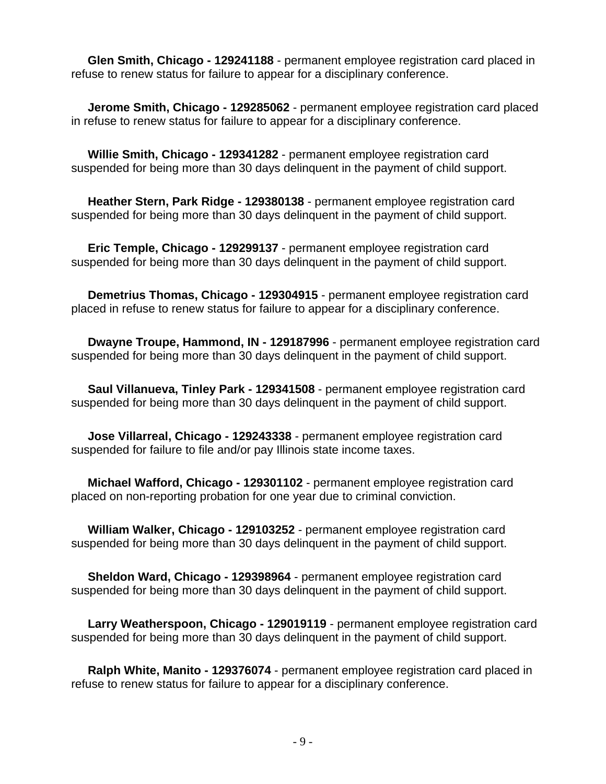**Glen Smith, Chicago - 129241188** - permanent employee registration card placed in refuse to renew status for failure to appear for a disciplinary conference.

 **Jerome Smith, Chicago - 129285062** - permanent employee registration card placed in refuse to renew status for failure to appear for a disciplinary conference.

 **Willie Smith, Chicago - 129341282** - permanent employee registration card suspended for being more than 30 days delinquent in the payment of child support.

 **Heather Stern, Park Ridge - 129380138** - permanent employee registration card suspended for being more than 30 days delinquent in the payment of child support.

 **Eric Temple, Chicago - 129299137** - permanent employee registration card suspended for being more than 30 days delinquent in the payment of child support.

 **Demetrius Thomas, Chicago - 129304915** - permanent employee registration card placed in refuse to renew status for failure to appear for a disciplinary conference.

 **Dwayne Troupe, Hammond, IN - 129187996** - permanent employee registration card suspended for being more than 30 days delinquent in the payment of child support.

 **Saul Villanueva, Tinley Park - 129341508** - permanent employee registration card suspended for being more than 30 days delinquent in the payment of child support.

 **Jose Villarreal, Chicago - 129243338** - permanent employee registration card suspended for failure to file and/or pay Illinois state income taxes.

 **Michael Wafford, Chicago - 129301102** - permanent employee registration card placed on non-reporting probation for one year due to criminal conviction.

 **William Walker, Chicago - 129103252** - permanent employee registration card suspended for being more than 30 days delinquent in the payment of child support.

 **Sheldon Ward, Chicago - 129398964** - permanent employee registration card suspended for being more than 30 days delinquent in the payment of child support.

 **Larry Weatherspoon, Chicago - 129019119** - permanent employee registration card suspended for being more than 30 days delinquent in the payment of child support.

 **Ralph White, Manito - 129376074** - permanent employee registration card placed in refuse to renew status for failure to appear for a disciplinary conference.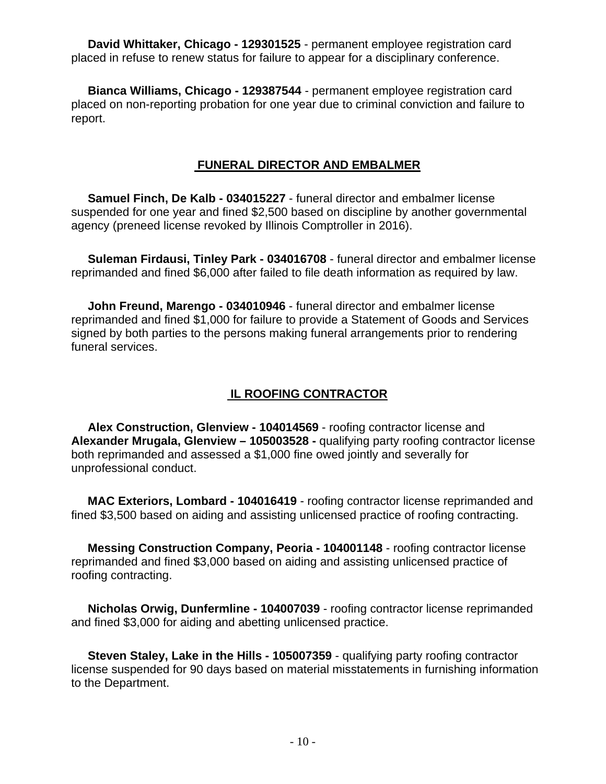**David Whittaker, Chicago - 129301525** - permanent employee registration card placed in refuse to renew status for failure to appear for a disciplinary conference.

 **Bianca Williams, Chicago - 129387544** - permanent employee registration card placed on non-reporting probation for one year due to criminal conviction and failure to report.

#### **FUNERAL DIRECTOR AND EMBALMER**

 **Samuel Finch, De Kalb - 034015227** - funeral director and embalmer license suspended for one year and fined \$2,500 based on discipline by another governmental agency (preneed license revoked by Illinois Comptroller in 2016).

 **Suleman Firdausi, Tinley Park - 034016708** - funeral director and embalmer license reprimanded and fined \$6,000 after failed to file death information as required by law.

 **John Freund, Marengo - 034010946** - funeral director and embalmer license reprimanded and fined \$1,000 for failure to provide a Statement of Goods and Services signed by both parties to the persons making funeral arrangements prior to rendering funeral services.

#### **IL ROOFING CONTRACTOR**

 **Alex Construction, Glenview - 104014569** - roofing contractor license and **Alexander Mrugala, Glenview – 105003528 -** qualifying party roofing contractor license both reprimanded and assessed a \$1,000 fine owed jointly and severally for unprofessional conduct.

 **MAC Exteriors, Lombard - 104016419** - roofing contractor license reprimanded and fined \$3,500 based on aiding and assisting unlicensed practice of roofing contracting.

 **Messing Construction Company, Peoria - 104001148** - roofing contractor license reprimanded and fined \$3,000 based on aiding and assisting unlicensed practice of roofing contracting.

 **Nicholas Orwig, Dunfermline - 104007039** - roofing contractor license reprimanded and fined \$3,000 for aiding and abetting unlicensed practice.

 **Steven Staley, Lake in the Hills - 105007359** - qualifying party roofing contractor license suspended for 90 days based on material misstatements in furnishing information to the Department.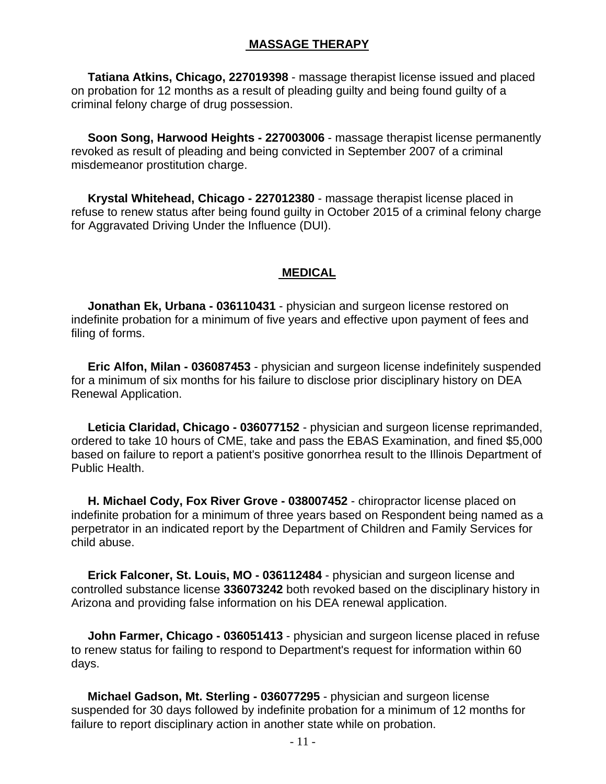#### **MASSAGE THERAPY**

 **Tatiana Atkins, Chicago, 227019398** - massage therapist license issued and placed on probation for 12 months as a result of pleading guilty and being found guilty of a criminal felony charge of drug possession.

 **Soon Song, Harwood Heights - 227003006** - massage therapist license permanently revoked as result of pleading and being convicted in September 2007 of a criminal misdemeanor prostitution charge.

 **Krystal Whitehead, Chicago - 227012380** - massage therapist license placed in refuse to renew status after being found guilty in October 2015 of a criminal felony charge for Aggravated Driving Under the Influence (DUI).

#### **MEDICAL**

 **Jonathan Ek, Urbana - 036110431** - physician and surgeon license restored on indefinite probation for a minimum of five years and effective upon payment of fees and filing of forms.

 **Eric Alfon, Milan - 036087453** - physician and surgeon license indefinitely suspended for a minimum of six months for his failure to disclose prior disciplinary history on DEA Renewal Application.

 **Leticia Claridad, Chicago - 036077152** - physician and surgeon license reprimanded, ordered to take 10 hours of CME, take and pass the EBAS Examination, and fined \$5,000 based on failure to report a patient's positive gonorrhea result to the Illinois Department of Public Health.

 **H. Michael Cody, Fox River Grove - 038007452** - chiropractor license placed on indefinite probation for a minimum of three years based on Respondent being named as a perpetrator in an indicated report by the Department of Children and Family Services for child abuse.

 **Erick Falconer, St. Louis, MO - 036112484** - physician and surgeon license and controlled substance license **336073242** both revoked based on the disciplinary history in Arizona and providing false information on his DEA renewal application.

 **John Farmer, Chicago - 036051413** - physician and surgeon license placed in refuse to renew status for failing to respond to Department's request for information within 60 days.

 **Michael Gadson, Mt. Sterling - 036077295** - physician and surgeon license suspended for 30 days followed by indefinite probation for a minimum of 12 months for failure to report disciplinary action in another state while on probation.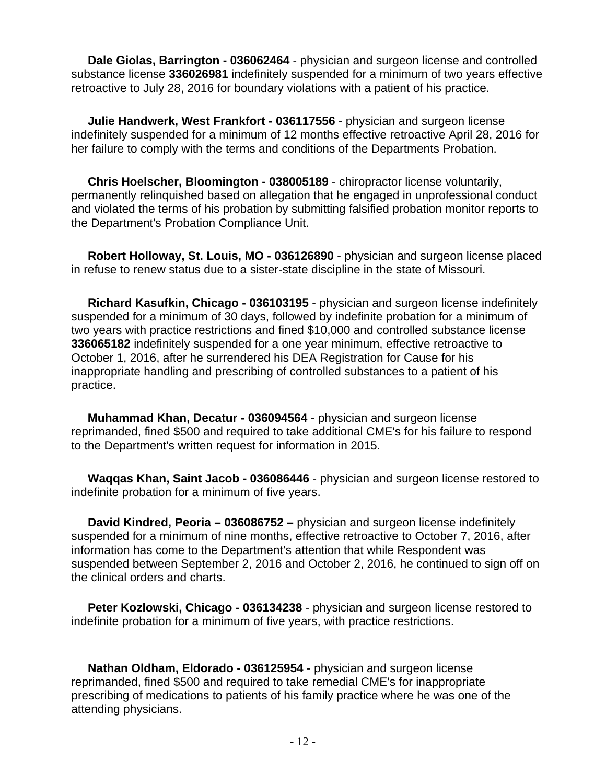**Dale Giolas, Barrington - 036062464** - physician and surgeon license and controlled substance license **336026981** indefinitely suspended for a minimum of two years effective retroactive to July 28, 2016 for boundary violations with a patient of his practice.

 **Julie Handwerk, West Frankfort - 036117556** - physician and surgeon license indefinitely suspended for a minimum of 12 months effective retroactive April 28, 2016 for her failure to comply with the terms and conditions of the Departments Probation.

 **Chris Hoelscher, Bloomington - 038005189** - chiropractor license voluntarily, permanently relinquished based on allegation that he engaged in unprofessional conduct and violated the terms of his probation by submitting falsified probation monitor reports to the Department's Probation Compliance Unit.

 **Robert Holloway, St. Louis, MO - 036126890** - physician and surgeon license placed in refuse to renew status due to a sister-state discipline in the state of Missouri.

 **Richard Kasufkin, Chicago - 036103195** - physician and surgeon license indefinitely suspended for a minimum of 30 days, followed by indefinite probation for a minimum of two years with practice restrictions and fined \$10,000 and controlled substance license **336065182** indefinitely suspended for a one year minimum, effective retroactive to October 1, 2016, after he surrendered his DEA Registration for Cause for his inappropriate handling and prescribing of controlled substances to a patient of his practice.

 **Muhammad Khan, Decatur - 036094564** - physician and surgeon license reprimanded, fined \$500 and required to take additional CME's for his failure to respond to the Department's written request for information in 2015.

 **Waqqas Khan, Saint Jacob - 036086446** - physician and surgeon license restored to indefinite probation for a minimum of five years.

 **David Kindred, Peoria – 036086752 –** physician and surgeon license indefinitely suspended for a minimum of nine months, effective retroactive to October 7, 2016, after information has come to the Department's attention that while Respondent was suspended between September 2, 2016 and October 2, 2016, he continued to sign off on the clinical orders and charts.

 **Peter Kozlowski, Chicago - 036134238** - physician and surgeon license restored to indefinite probation for a minimum of five years, with practice restrictions.

 **Nathan Oldham, Eldorado - 036125954** - physician and surgeon license reprimanded, fined \$500 and required to take remedial CME's for inappropriate prescribing of medications to patients of his family practice where he was one of the attending physicians.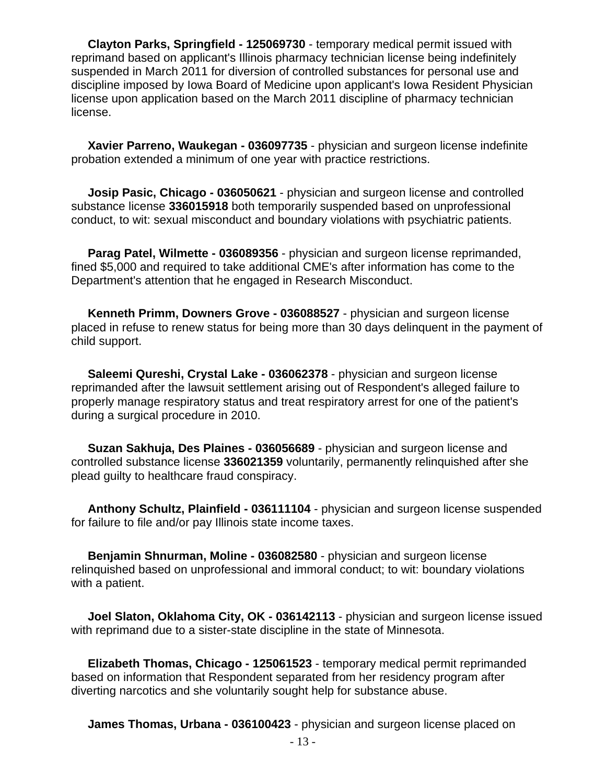**Clayton Parks, Springfield - 125069730** - temporary medical permit issued with reprimand based on applicant's Illinois pharmacy technician license being indefinitely suspended in March 2011 for diversion of controlled substances for personal use and discipline imposed by Iowa Board of Medicine upon applicant's Iowa Resident Physician license upon application based on the March 2011 discipline of pharmacy technician license.

 **Xavier Parreno, Waukegan - 036097735** - physician and surgeon license indefinite probation extended a minimum of one year with practice restrictions.

 **Josip Pasic, Chicago - 036050621** - physician and surgeon license and controlled substance license **336015918** both temporarily suspended based on unprofessional conduct, to wit: sexual misconduct and boundary violations with psychiatric patients.

 **Parag Patel, Wilmette - 036089356** - physician and surgeon license reprimanded, fined \$5,000 and required to take additional CME's after information has come to the Department's attention that he engaged in Research Misconduct.

 **Kenneth Primm, Downers Grove - 036088527** - physician and surgeon license placed in refuse to renew status for being more than 30 days delinquent in the payment of child support.

 **Saleemi Qureshi, Crystal Lake - 036062378** - physician and surgeon license reprimanded after the lawsuit settlement arising out of Respondent's alleged failure to properly manage respiratory status and treat respiratory arrest for one of the patient's during a surgical procedure in 2010.

 **Suzan Sakhuja, Des Plaines - 036056689** - physician and surgeon license and controlled substance license **336021359** voluntarily, permanently relinquished after she plead guilty to healthcare fraud conspiracy.

 **Anthony Schultz, Plainfield - 036111104** - physician and surgeon license suspended for failure to file and/or pay Illinois state income taxes.

 **Benjamin Shnurman, Moline - 036082580** - physician and surgeon license relinquished based on unprofessional and immoral conduct; to wit: boundary violations with a patient.

 **Joel Slaton, Oklahoma City, OK - 036142113** - physician and surgeon license issued with reprimand due to a sister-state discipline in the state of Minnesota.

 **Elizabeth Thomas, Chicago - 125061523** - temporary medical permit reprimanded based on information that Respondent separated from her residency program after diverting narcotics and she voluntarily sought help for substance abuse.

**James Thomas, Urbana - 036100423** - physician and surgeon license placed on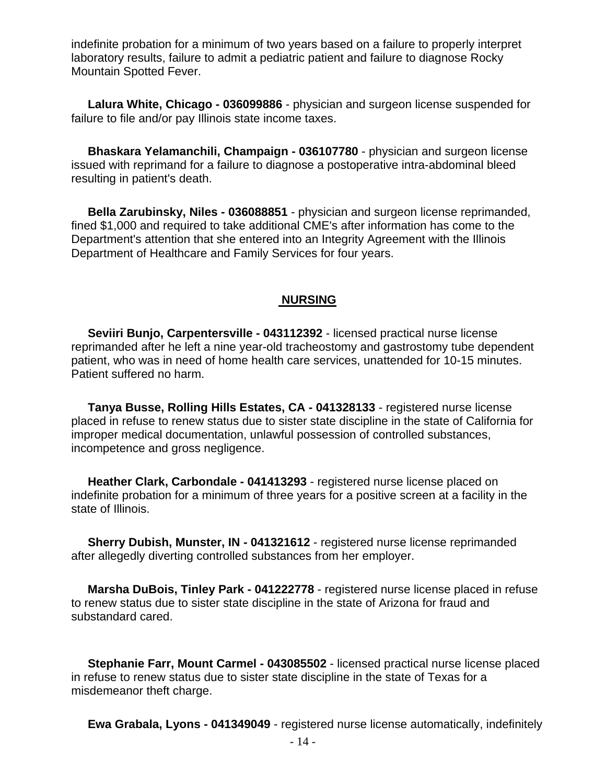indefinite probation for a minimum of two years based on a failure to properly interpret laboratory results, failure to admit a pediatric patient and failure to diagnose Rocky Mountain Spotted Fever.

 **Lalura White, Chicago - 036099886** - physician and surgeon license suspended for failure to file and/or pay Illinois state income taxes.

 **Bhaskara Yelamanchili, Champaign - 036107780** - physician and surgeon license issued with reprimand for a failure to diagnose a postoperative intra-abdominal bleed resulting in patient's death.

 **Bella Zarubinsky, Niles - 036088851** - physician and surgeon license reprimanded, fined \$1,000 and required to take additional CME's after information has come to the Department's attention that she entered into an Integrity Agreement with the Illinois Department of Healthcare and Family Services for four years.

#### **NURSING**

 **Seviiri Bunjo, Carpentersville - 043112392** - licensed practical nurse license reprimanded after he left a nine year-old tracheostomy and gastrostomy tube dependent patient, who was in need of home health care services, unattended for 10-15 minutes. Patient suffered no harm.

 **Tanya Busse, Rolling Hills Estates, CA - 041328133** - registered nurse license placed in refuse to renew status due to sister state discipline in the state of California for improper medical documentation, unlawful possession of controlled substances, incompetence and gross negligence.

 **Heather Clark, Carbondale - 041413293** - registered nurse license placed on indefinite probation for a minimum of three years for a positive screen at a facility in the state of Illinois.

 **Sherry Dubish, Munster, IN - 041321612** - registered nurse license reprimanded after allegedly diverting controlled substances from her employer.

 **Marsha DuBois, Tinley Park - 041222778** - registered nurse license placed in refuse to renew status due to sister state discipline in the state of Arizona for fraud and substandard cared.

 **Stephanie Farr, Mount Carmel - 043085502** - licensed practical nurse license placed in refuse to renew status due to sister state discipline in the state of Texas for a misdemeanor theft charge.

**Ewa Grabala, Lyons - 041349049** - registered nurse license automatically, indefinitely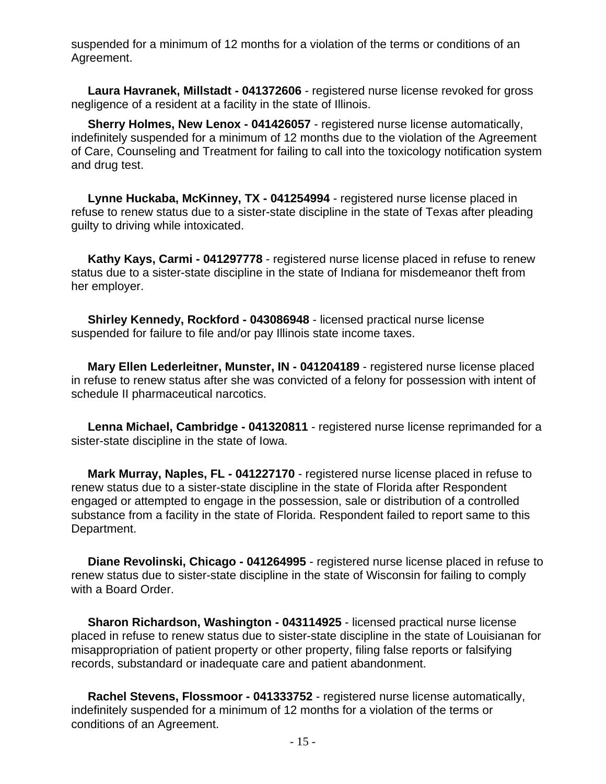suspended for a minimum of 12 months for a violation of the terms or conditions of an Agreement.

 **Laura Havranek, Millstadt - 041372606** - registered nurse license revoked for gross negligence of a resident at a facility in the state of Illinois.

 **Sherry Holmes, New Lenox - 041426057** - registered nurse license automatically, indefinitely suspended for a minimum of 12 months due to the violation of the Agreement of Care, Counseling and Treatment for failing to call into the toxicology notification system and drug test.

 **Lynne Huckaba, McKinney, TX - 041254994** - registered nurse license placed in refuse to renew status due to a sister-state discipline in the state of Texas after pleading guilty to driving while intoxicated.

 **Kathy Kays, Carmi - 041297778** - registered nurse license placed in refuse to renew status due to a sister-state discipline in the state of Indiana for misdemeanor theft from her employer.

 **Shirley Kennedy, Rockford - 043086948** - licensed practical nurse license suspended for failure to file and/or pay Illinois state income taxes.

 **Mary Ellen Lederleitner, Munster, IN - 041204189** - registered nurse license placed in refuse to renew status after she was convicted of a felony for possession with intent of schedule II pharmaceutical narcotics.

 **Lenna Michael, Cambridge - 041320811** - registered nurse license reprimanded for a sister-state discipline in the state of Iowa.

 **Mark Murray, Naples, FL - 041227170** - registered nurse license placed in refuse to renew status due to a sister-state discipline in the state of Florida after Respondent engaged or attempted to engage in the possession, sale or distribution of a controlled substance from a facility in the state of Florida. Respondent failed to report same to this Department.

 **Diane Revolinski, Chicago - 041264995** - registered nurse license placed in refuse to renew status due to sister-state discipline in the state of Wisconsin for failing to comply with a Board Order.

 **Sharon Richardson, Washington - 043114925** - licensed practical nurse license placed in refuse to renew status due to sister-state discipline in the state of Louisianan for misappropriation of patient property or other property, filing false reports or falsifying records, substandard or inadequate care and patient abandonment.

 **Rachel Stevens, Flossmoor - 041333752** - registered nurse license automatically, indefinitely suspended for a minimum of 12 months for a violation of the terms or conditions of an Agreement.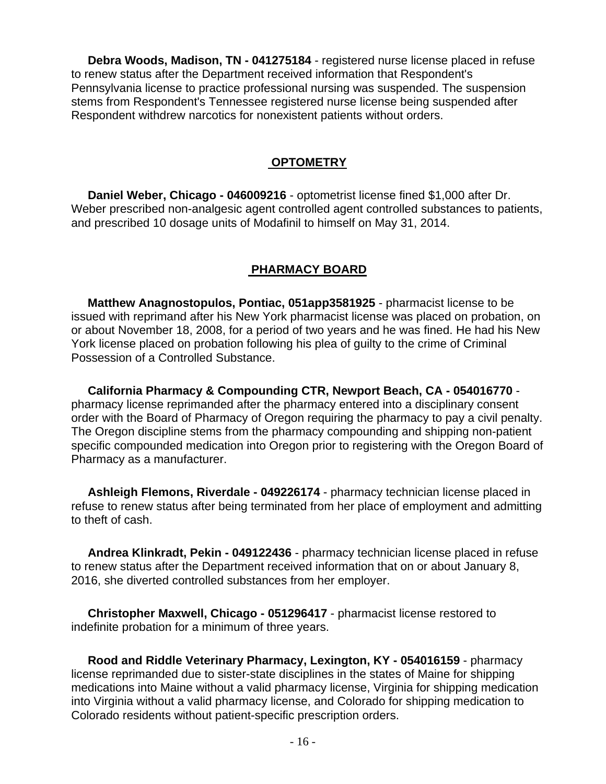**Debra Woods, Madison, TN - 041275184** - registered nurse license placed in refuse to renew status after the Department received information that Respondent's Pennsylvania license to practice professional nursing was suspended. The suspension stems from Respondent's Tennessee registered nurse license being suspended after Respondent withdrew narcotics for nonexistent patients without orders.

#### **OPTOMETRY**

 **Daniel Weber, Chicago - 046009216** - optometrist license fined \$1,000 after Dr. Weber prescribed non-analgesic agent controlled agent controlled substances to patients, and prescribed 10 dosage units of Modafinil to himself on May 31, 2014.

#### **PHARMACY BOARD**

 **Matthew Anagnostopulos, Pontiac, 051app3581925** - pharmacist license to be issued with reprimand after his New York pharmacist license was placed on probation, on or about November 18, 2008, for a period of two years and he was fined. He had his New York license placed on probation following his plea of guilty to the crime of Criminal Possession of a Controlled Substance.

 **California Pharmacy & Compounding CTR, Newport Beach, CA - 054016770** pharmacy license reprimanded after the pharmacy entered into a disciplinary consent order with the Board of Pharmacy of Oregon requiring the pharmacy to pay a civil penalty. The Oregon discipline stems from the pharmacy compounding and shipping non-patient specific compounded medication into Oregon prior to registering with the Oregon Board of Pharmacy as a manufacturer.

 **Ashleigh Flemons, Riverdale - 049226174** - pharmacy technician license placed in refuse to renew status after being terminated from her place of employment and admitting to theft of cash.

 **Andrea Klinkradt, Pekin - 049122436** - pharmacy technician license placed in refuse to renew status after the Department received information that on or about January 8, 2016, she diverted controlled substances from her employer.

 **Christopher Maxwell, Chicago - 051296417** - pharmacist license restored to indefinite probation for a minimum of three years.

 **Rood and Riddle Veterinary Pharmacy, Lexington, KY - 054016159** - pharmacy license reprimanded due to sister-state disciplines in the states of Maine for shipping medications into Maine without a valid pharmacy license, Virginia for shipping medication into Virginia without a valid pharmacy license, and Colorado for shipping medication to Colorado residents without patient-specific prescription orders.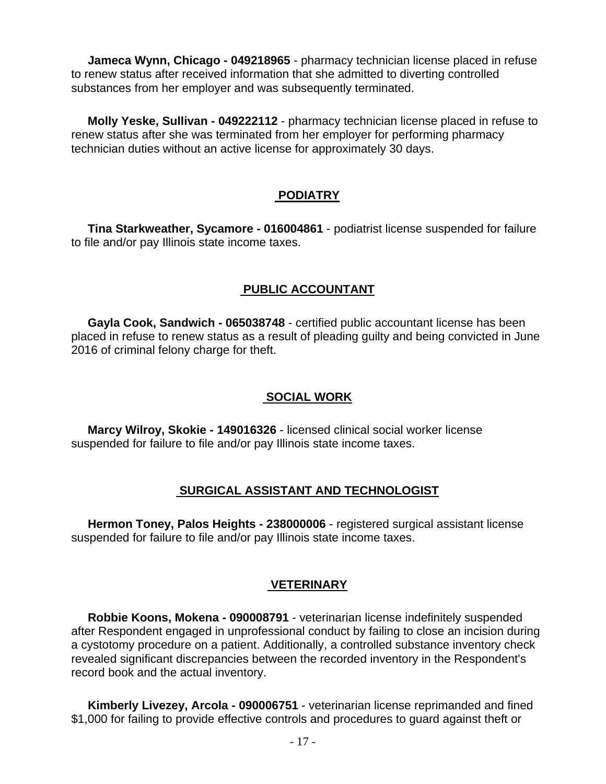**Jameca Wynn, Chicago - 049218965** - pharmacy technician license placed in refuse to renew status after received information that she admitted to diverting controlled substances from her employer and was subsequently terminated.

 **Molly Yeske, Sullivan - 049222112** - pharmacy technician license placed in refuse to renew status after she was terminated from her employer for performing pharmacy technician duties without an active license for approximately 30 days.

#### **PODIATRY**

 **Tina Starkweather, Sycamore - 016004861** - podiatrist license suspended for failure to file and/or pay Illinois state income taxes.

## **PUBLIC ACCOUNTANT**

 **Gayla Cook, Sandwich - 065038748** - certified public accountant license has been placed in refuse to renew status as a result of pleading guilty and being convicted in June 2016 of criminal felony charge for theft.

### **SOCIAL WORK**

 **Marcy Wilroy, Skokie - 149016326** - licensed clinical social worker license suspended for failure to file and/or pay Illinois state income taxes.

#### **SURGICAL ASSISTANT AND TECHNOLOGIST**

 **Hermon Toney, Palos Heights - 238000006** - registered surgical assistant license suspended for failure to file and/or pay Illinois state income taxes.

#### **VETERINARY**

 **Robbie Koons, Mokena - 090008791** - veterinarian license indefinitely suspended after Respondent engaged in unprofessional conduct by failing to close an incision during a cystotomy procedure on a patient. Additionally, a controlled substance inventory check revealed significant discrepancies between the recorded inventory in the Respondent's record book and the actual inventory.

 **Kimberly Livezey, Arcola - 090006751** - veterinarian license reprimanded and fined \$1,000 for failing to provide effective controls and procedures to guard against theft or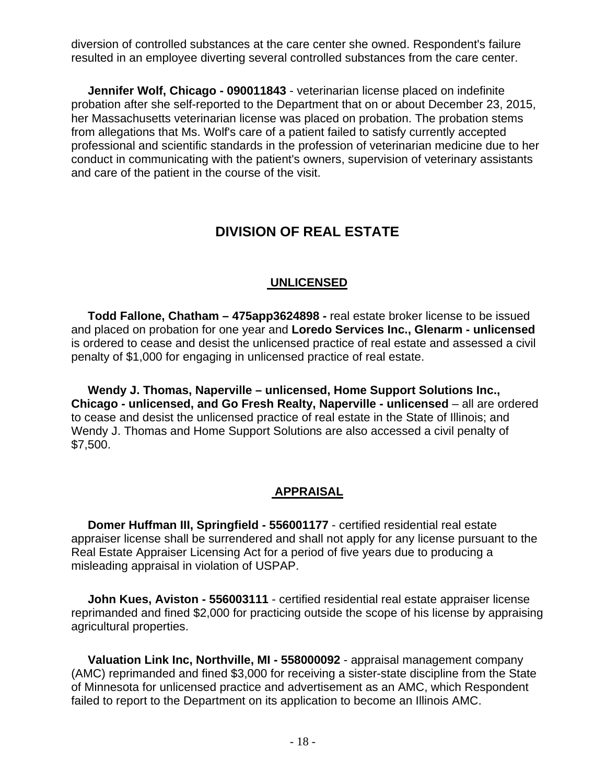diversion of controlled substances at the care center she owned. Respondent's failure resulted in an employee diverting several controlled substances from the care center.

 **Jennifer Wolf, Chicago - 090011843** - veterinarian license placed on indefinite probation after she self-reported to the Department that on or about December 23, 2015, her Massachusetts veterinarian license was placed on probation. The probation stems from allegations that Ms. Wolf's care of a patient failed to satisfy currently accepted professional and scientific standards in the profession of veterinarian medicine due to her conduct in communicating with the patient's owners, supervision of veterinary assistants and care of the patient in the course of the visit.

## **DIVISION OF REAL ESTATE**

## **UNLICENSED**

 **Todd Fallone, Chatham – 475app3624898 -** real estate broker license to be issued and placed on probation for one year and **Loredo Services Inc., Glenarm - unlicensed** is ordered to cease and desist the unlicensed practice of real estate and assessed a civil penalty of \$1,000 for engaging in unlicensed practice of real estate.

 **Wendy J. Thomas, Naperville – unlicensed, Home Support Solutions Inc., Chicago - unlicensed, and Go Fresh Realty, Naperville - unlicensed** – all are ordered to cease and desist the unlicensed practice of real estate in the State of Illinois; and Wendy J. Thomas and Home Support Solutions are also accessed a civil penalty of \$7,500.

#### **APPRAISAL**

 **Domer Huffman III, Springfield - 556001177** - certified residential real estate appraiser license shall be surrendered and shall not apply for any license pursuant to the Real Estate Appraiser Licensing Act for a period of five years due to producing a misleading appraisal in violation of USPAP.

 **John Kues, Aviston - 556003111** - certified residential real estate appraiser license reprimanded and fined \$2,000 for practicing outside the scope of his license by appraising agricultural properties.

 **Valuation Link Inc, Northville, MI - 558000092** - appraisal management company (AMC) reprimanded and fined \$3,000 for receiving a sister-state discipline from the State of Minnesota for unlicensed practice and advertisement as an AMC, which Respondent failed to report to the Department on its application to become an Illinois AMC.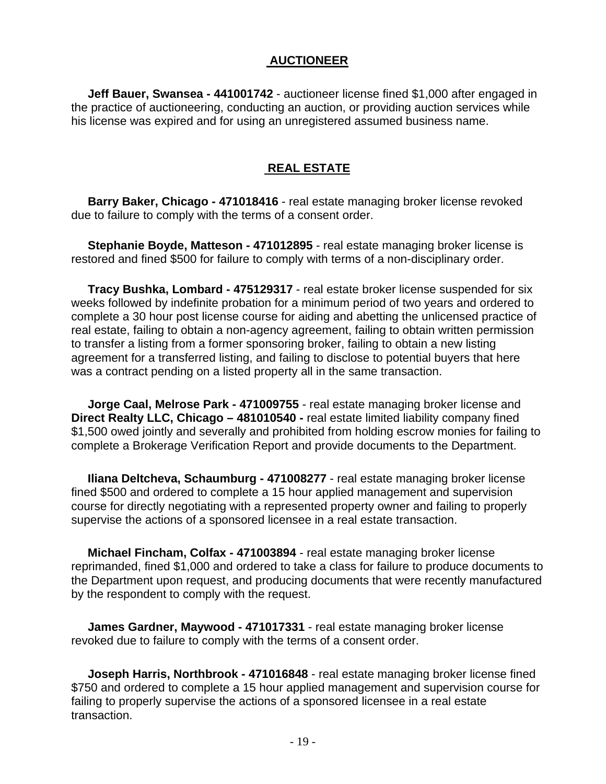#### **AUCTIONEER**

 **Jeff Bauer, Swansea - 441001742** - auctioneer license fined \$1,000 after engaged in the practice of auctioneering, conducting an auction, or providing auction services while his license was expired and for using an unregistered assumed business name.

#### **REAL ESTATE**

 **Barry Baker, Chicago - 471018416** - real estate managing broker license revoked due to failure to comply with the terms of a consent order.

 **Stephanie Boyde, Matteson - 471012895** - real estate managing broker license is restored and fined \$500 for failure to comply with terms of a non-disciplinary order.

 **Tracy Bushka, Lombard - 475129317** - real estate broker license suspended for six weeks followed by indefinite probation for a minimum period of two years and ordered to complete a 30 hour post license course for aiding and abetting the unlicensed practice of real estate, failing to obtain a non-agency agreement, failing to obtain written permission to transfer a listing from a former sponsoring broker, failing to obtain a new listing agreement for a transferred listing, and failing to disclose to potential buyers that here was a contract pending on a listed property all in the same transaction.

 **Jorge Caal, Melrose Park - 471009755** - real estate managing broker license and **Direct Realty LLC, Chicago – 481010540 -** real estate limited liability company fined \$1,500 owed jointly and severally and prohibited from holding escrow monies for failing to complete a Brokerage Verification Report and provide documents to the Department.

 **Iliana Deltcheva, Schaumburg - 471008277** - real estate managing broker license fined \$500 and ordered to complete a 15 hour applied management and supervision course for directly negotiating with a represented property owner and failing to properly supervise the actions of a sponsored licensee in a real estate transaction.

 **Michael Fincham, Colfax - 471003894** - real estate managing broker license reprimanded, fined \$1,000 and ordered to take a class for failure to produce documents to the Department upon request, and producing documents that were recently manufactured by the respondent to comply with the request.

 **James Gardner, Maywood - 471017331** - real estate managing broker license revoked due to failure to comply with the terms of a consent order.

 **Joseph Harris, Northbrook - 471016848** - real estate managing broker license fined \$750 and ordered to complete a 15 hour applied management and supervision course for failing to properly supervise the actions of a sponsored licensee in a real estate transaction.